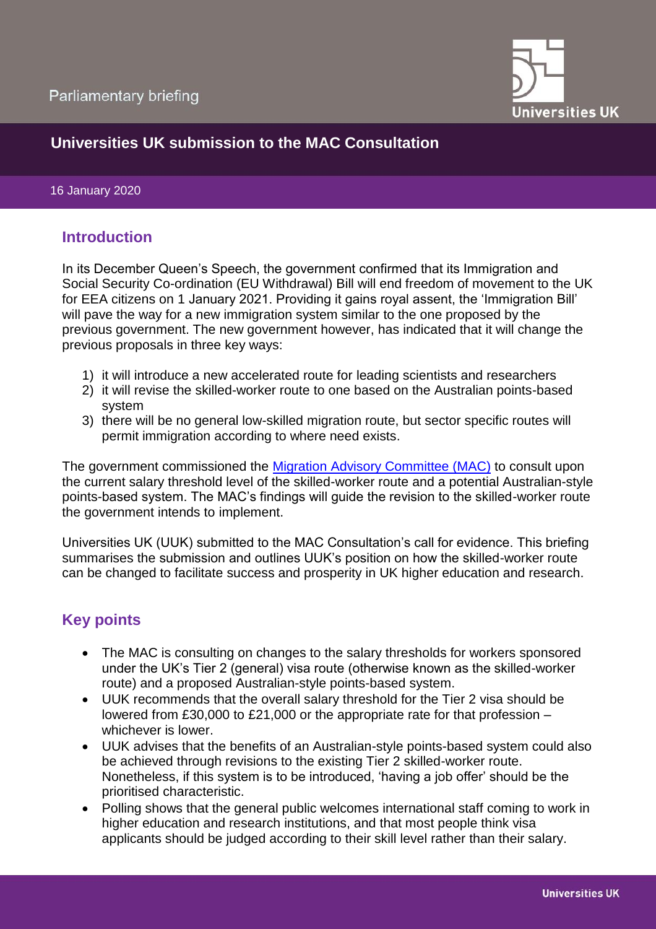

# **Universities UK submission to the MAC Consultation**

#### 16 January 2020

#### **Introduction**

In its December Queen's Speech, the government confirmed that its Immigration and Social Security Co-ordination (EU Withdrawal) Bill will end freedom of movement to the UK for EEA citizens on 1 January 2021. Providing it gains royal assent, the 'Immigration Bill' will pave the way for a new immigration system similar to the one proposed by the previous government. The new government however, has indicated that it will change the previous proposals in three key ways:

- 1) it will introduce a new accelerated route for leading scientists and researchers
- 2) it will revise the skilled-worker route to one based on the Australian points-based system
- 3) there will be no general low-skilled migration route, but sector specific routes will permit immigration according to where need exists.

The government commissioned the [Migration Advisory Committee \(MAC\)](https://www.gov.uk/government/consultations/salary-threshold-and-points-based-system-pbs-commission-call-for-evidence) to consult upon the current salary threshold level of the skilled-worker route and a potential Australian-style points-based system. The MAC's findings will guide the revision to the skilled-worker route the government intends to implement.

Universities UK (UUK) submitted to the MAC Consultation's call for evidence. This briefing summarises the submission and outlines UUK's position on how the skilled-worker route can be changed to facilitate success and prosperity in UK higher education and research.

# **Key points**

- The MAC is consulting on changes to the salary thresholds for workers sponsored under the UK's Tier 2 (general) visa route (otherwise known as the skilled-worker route) and a proposed Australian-style points-based system.
- UUK recommends that the overall salary threshold for the Tier 2 visa should be lowered from £30,000 to £21,000 or the appropriate rate for that profession – whichever is lower.
- UUK advises that the benefits of an Australian-style points-based system could also be achieved through revisions to the existing Tier 2 skilled-worker route. Nonetheless, if this system is to be introduced, 'having a job offer' should be the prioritised characteristic.
- Polling shows that the general public welcomes international staff coming to work in higher education and research institutions, and that most people think visa applicants should be judged according to their skill level rather than their salary.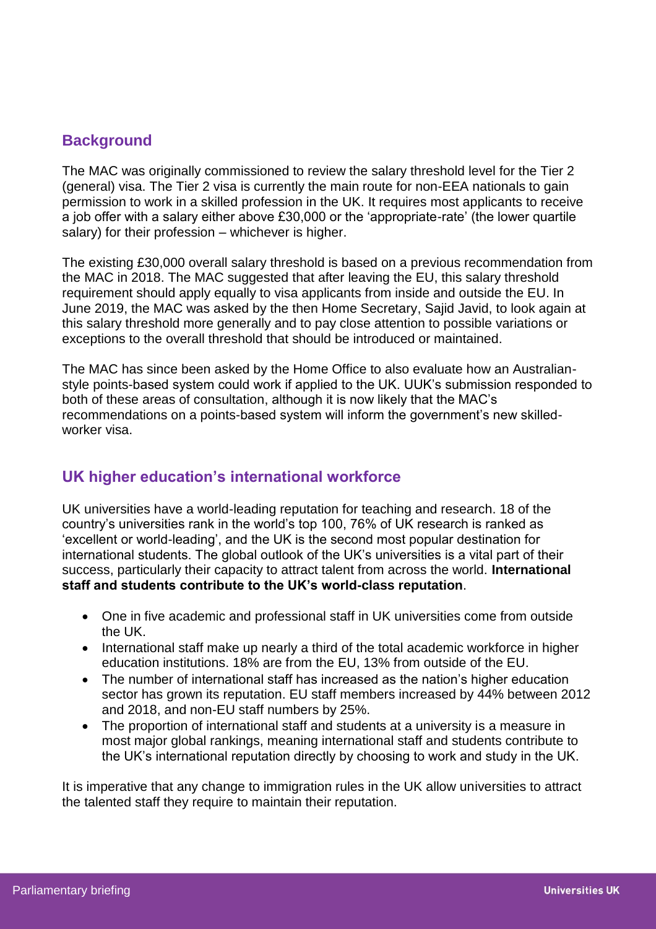### **Background**

The MAC was originally commissioned to review the salary threshold level for the Tier 2 (general) visa. The Tier 2 visa is currently the main route for non-EEA nationals to gain permission to work in a skilled profession in the UK. It requires most applicants to receive a job offer with a salary either above £30,000 or the 'appropriate-rate' (the lower quartile salary) for their profession – whichever is higher.

The existing £30,000 overall salary threshold is based on a previous recommendation from the MAC in 2018. The MAC suggested that after leaving the EU, this salary threshold requirement should apply equally to visa applicants from inside and outside the EU. In June 2019, the MAC was asked by the then Home Secretary, Sajid Javid, to look again at this salary threshold more generally and to pay close attention to possible variations or exceptions to the overall threshold that should be introduced or maintained.

The MAC has since been asked by the Home Office to also evaluate how an Australianstyle points-based system could work if applied to the UK. UUK's submission responded to both of these areas of consultation, although it is now likely that the MAC's recommendations on a points-based system will inform the government's new skilledworker visa.

## **UK higher education's international workforce**

UK universities have a world-leading reputation for teaching and research. 18 of the country's universities rank in the world's top 100, 76% of UK research is ranked as 'excellent or world-leading', and the UK is the second most popular destination for international students. The global outlook of the UK's universities is a vital part of their success, particularly their capacity to attract talent from across the world. **International staff and students contribute to the UK's world-class reputation**.

- One in five academic and professional staff in UK universities come from outside the UK.
- International staff make up nearly a third of the total academic workforce in higher education institutions. 18% are from the EU, 13% from outside of the EU.
- The number of international staff has increased as the nation's higher education sector has grown its reputation. EU staff members increased by 44% between 2012 and 2018, and non-EU staff numbers by 25%.
- The proportion of international staff and students at a university is a measure in most major global rankings, meaning international staff and students contribute to the UK's international reputation directly by choosing to work and study in the UK.

It is imperative that any change to immigration rules in the UK allow universities to attract the talented staff they require to maintain their reputation.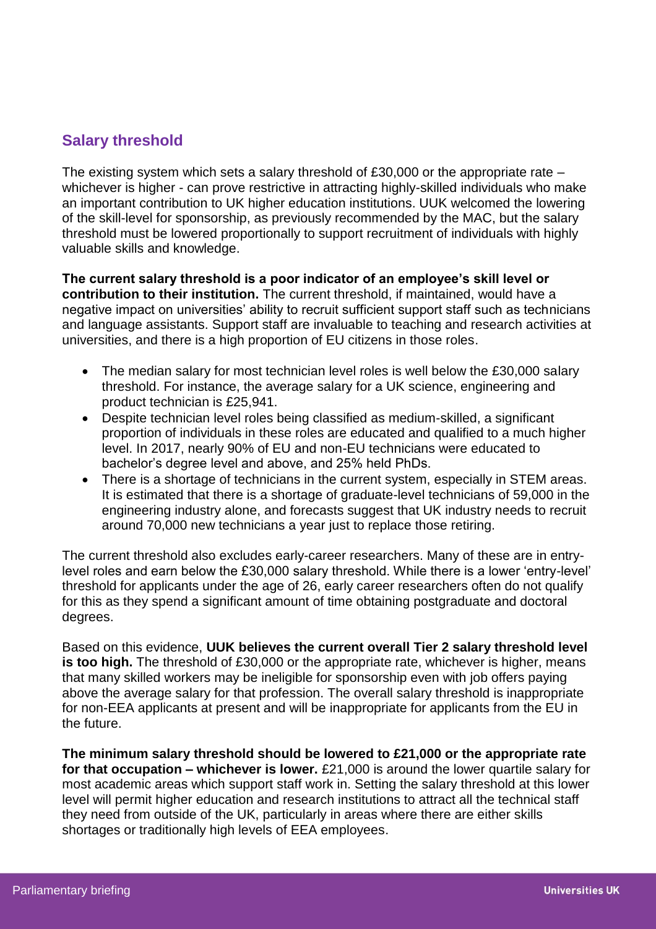# **Salary threshold**

The existing system which sets a salary threshold of £30,000 or the appropriate rate – whichever is higher - can prove restrictive in attracting highly-skilled individuals who make an important contribution to UK higher education institutions. UUK welcomed the lowering of the skill-level for sponsorship, as previously recommended by the MAC, but the salary threshold must be lowered proportionally to support recruitment of individuals with highly valuable skills and knowledge.

**The current salary threshold is a poor indicator of an employee's skill level or contribution to their institution.** The current threshold, if maintained, would have a negative impact on universities' ability to recruit sufficient support staff such as technicians and language assistants. Support staff are invaluable to teaching and research activities at universities, and there is a high proportion of EU citizens in those roles.

- The median salary for most technician level roles is well below the £30,000 salary threshold. For instance, the average salary for a UK science, engineering and product technician is £25,941.
- Despite technician level roles being classified as medium-skilled, a significant proportion of individuals in these roles are educated and qualified to a much higher level. In 2017, nearly 90% of EU and non-EU technicians were educated to bachelor's degree level and above, and 25% held PhDs.
- There is a shortage of technicians in the current system, especially in STEM areas. It is estimated that there is a shortage of graduate-level technicians of 59,000 in the engineering industry alone, and forecasts suggest that UK industry needs to recruit around 70,000 new technicians a year just to replace those retiring.

The current threshold also excludes early-career researchers. Many of these are in entrylevel roles and earn below the £30,000 salary threshold. While there is a lower 'entry-level' threshold for applicants under the age of 26, early career researchers often do not qualify for this as they spend a significant amount of time obtaining postgraduate and doctoral degrees.

Based on this evidence, **UUK believes the current overall Tier 2 salary threshold level is too high.** The threshold of £30,000 or the appropriate rate, whichever is higher, means that many skilled workers may be ineligible for sponsorship even with job offers paying above the average salary for that profession. The overall salary threshold is inappropriate for non-EEA applicants at present and will be inappropriate for applicants from the EU in the future.

**The minimum salary threshold should be lowered to £21,000 or the appropriate rate for that occupation – whichever is lower.** £21,000 is around the lower quartile salary for most academic areas which support staff work in. Setting the salary threshold at this lower level will permit higher education and research institutions to attract all the technical staff they need from outside of the UK, particularly in areas where there are either skills shortages or traditionally high levels of EEA employees.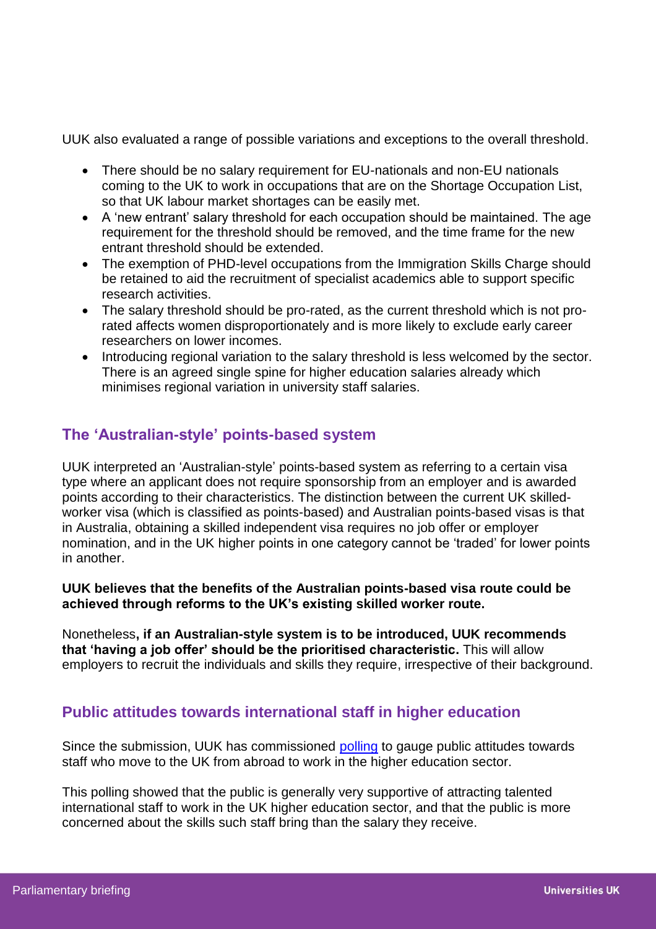UUK also evaluated a range of possible variations and exceptions to the overall threshold.

- There should be no salary requirement for EU-nationals and non-EU nationals coming to the UK to work in occupations that are on the Shortage Occupation List, so that UK labour market shortages can be easily met.
- A 'new entrant' salary threshold for each occupation should be maintained. The age requirement for the threshold should be removed, and the time frame for the new entrant threshold should be extended.
- The exemption of PHD-level occupations from the Immigration Skills Charge should be retained to aid the recruitment of specialist academics able to support specific research activities.
- The salary threshold should be pro-rated, as the current threshold which is not prorated affects women disproportionately and is more likely to exclude early career researchers on lower incomes.
- Introducing regional variation to the salary threshold is less welcomed by the sector. There is an agreed single spine for higher education salaries already which minimises regional variation in university staff salaries.

# **The 'Australian-style' points-based system**

UUK interpreted an 'Australian-style' points-based system as referring to a certain visa type where an applicant does not require sponsorship from an employer and is awarded points according to their characteristics. The distinction between the current UK skilledworker visa (which is classified as points-based) and Australian points-based visas is that in Australia, obtaining a skilled independent visa requires no job offer or employer nomination, and in the UK higher points in one category cannot be 'traded' for lower points in another.

**UUK believes that the benefits of the Australian points-based visa route could be achieved through reforms to the UK's existing skilled worker route.** 

Nonetheless**, if an Australian-style system is to be introduced, UUK recommends that 'having a job offer' should be the prioritised characteristic.** This will allow employers to recruit the individuals and skills they require, irrespective of their background.

#### **Public attitudes towards international staff in higher education**

Since the submission, UUK has commissioned [polling](https://www.universitiesuk.ac.uk/news/Pages/New-poll-shows-overwhelming-support-for-an-immigration-system-based-on-skills.aspx) to gauge public attitudes towards staff who move to the UK from abroad to work in the higher education sector.

This polling showed that the public is generally very supportive of attracting talented international staff to work in the UK higher education sector, and that the public is more concerned about the skills such staff bring than the salary they receive.